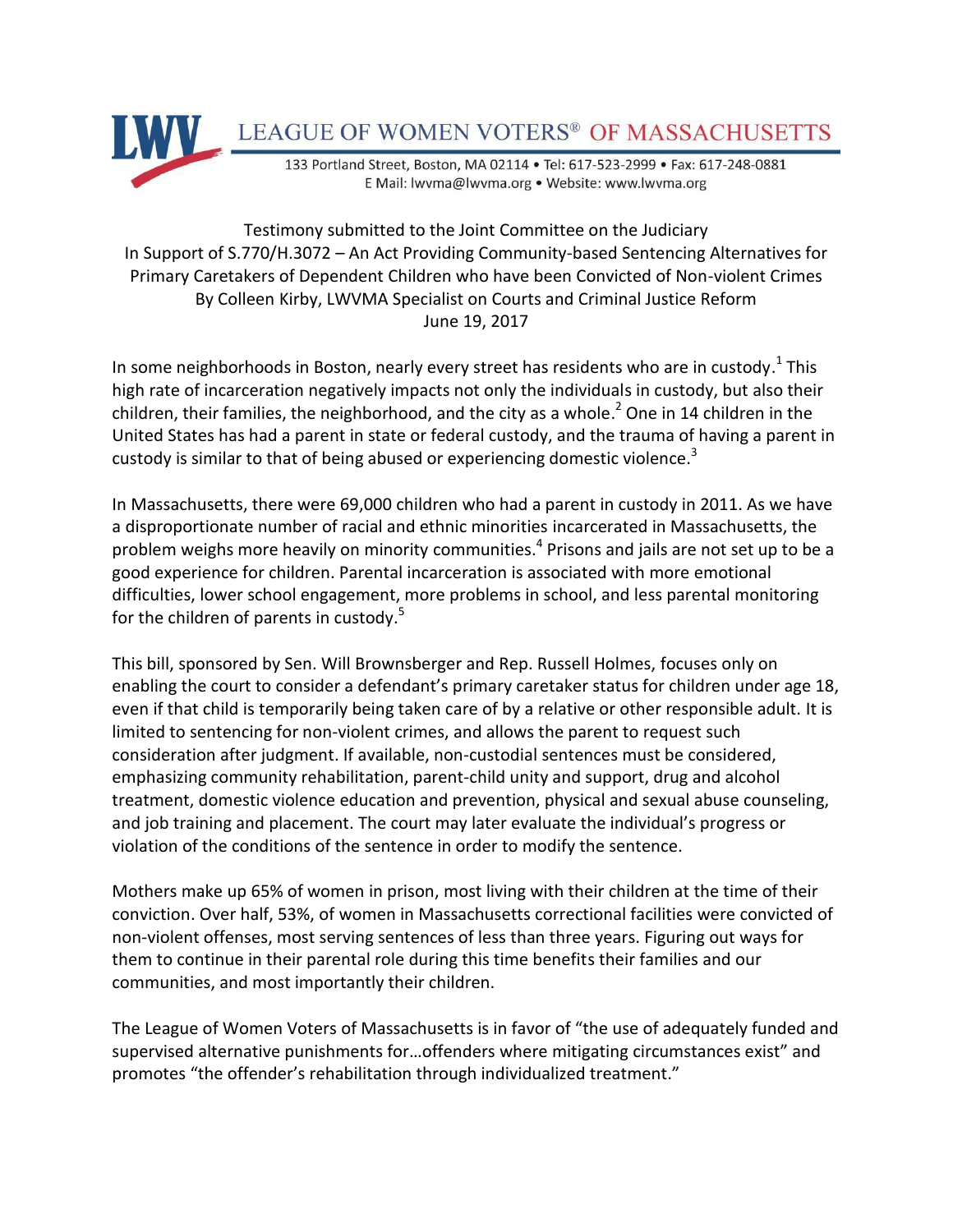

## Testimony submitted to the Joint Committee on the Judiciary In Support of S.770/H.3072 – An Act Providing Community-based Sentencing Alternatives for Primary Caretakers of Dependent Children who have been Convicted of Non-violent Crimes By Colleen Kirby, LWVMA Specialist on Courts and Criminal Justice Reform June 19, 2017

In some neighborhoods in Boston, nearly every street has residents who are in custody.<sup>1</sup> This high rate of incarceration negatively impacts not only the individuals in custody, but also their children, their families, the neighborhood, and the city as a whole.<sup>2</sup> One in 14 children in the United States has had a parent in state or federal custody, and the trauma of having a parent in custody is similar to that of being abused or experiencing domestic violence.<sup>3</sup>

In Massachusetts, there were 69,000 children who had a parent in custody in 2011. As we have a disproportionate number of racial and ethnic minorities incarcerated in Massachusetts, the problem weighs more heavily on minority communities.<sup>4</sup> Prisons and jails are not set up to be a good experience for children. Parental incarceration is associated with more emotional difficulties, lower school engagement, more problems in school, and less parental monitoring for the children of parents in custody.<sup>5</sup>

This bill, sponsored by Sen. Will Brownsberger and Rep. Russell Holmes, focuses only on enabling the court to consider a defendant's primary caretaker status for children under age 18, even if that child is temporarily being taken care of by a relative or other responsible adult. It is limited to sentencing for non-violent crimes, and allows the parent to request such consideration after judgment. If available, non-custodial sentences must be considered, emphasizing community rehabilitation, parent-child unity and support, drug and alcohol treatment, domestic violence education and prevention, physical and sexual abuse counseling, and job training and placement. The court may later evaluate the individual's progress or violation of the conditions of the sentence in order to modify the sentence.

Mothers make up 65% of women in prison, most living with their children at the time of their conviction. Over half, 53%, of women in Massachusetts correctional facilities were convicted of non-violent offenses, most serving sentences of less than three years. Figuring out ways for them to continue in their parental role during this time benefits their families and our communities, and most importantly their children.

The League of Women Voters of Massachusetts is in favor of "the use of adequately funded and supervised alternative punishments for…offenders where mitigating circumstances exist" and promotes "the offender's rehabilitation through individualized treatment."